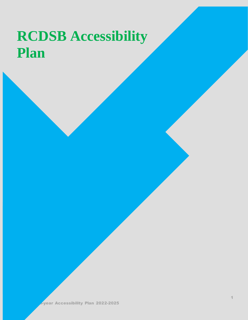# **RCDSB Accessibility Plan**

**Repar Accessibility Plan 2022-2025**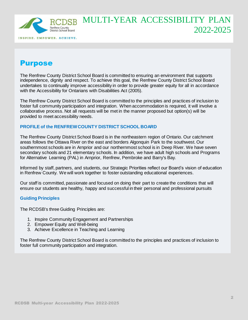

# Purpose

The Renfrew County District School Board is committed to ensuring an environment that supports independence, dignity and respect. To achieve this goal, the Renfrew County District School Board undertakes to continually improve accessibility in order to provide greater equity for all in accordance with the Accessibility for Ontarians with Disabilities Act (2005).

The Renfrew County District School Board is committed to the principles and practices of inclusion to foster full community participation and integration. When accommodation is required, it will involve a collaborative process. Not all requests will be met in the manner proposed but option(s) will be provided to meet accessibility needs.

### **PROFILE of the RENFREW COUNTY DISTRICT SCHOOL BOARD**

The Renfrew County District School Board is in the northeastern region of Ontario. Our catchment areas follows the Ottawa River on the east and borders Algonquin Park to the southwest. Our southernmost schools are in Arnprior and our northernmost school is in Deep River. We have seven secondary schools and 21 elementary schools. In addition, we have adult high schools and Programs for Alternative Learning (PAL) in Arnprior, Renfrew, Pembroke and Barry's Bay.

Informed by staff, partners, and students, our Strategic Priorities reflect our Board's vision of education in Renfrew County. We will work together to foster outstanding educational experiences.

Our staff is committed, passionate and focused on doing their part to create the conditions that will ensure our students are healthy, happy and successful in their personal and professional pursuits

### **Guiding Principles**

The RCDSB's three Guiding Principles are:

- 1. Inspire Community Engagement and Partnerships
- 2. Empower Equity and Well-being
- 3. Achieve Excellence in Teaching and Learning

The Renfrew County District School Board is committed to the principles and practices of inclusion to foster full community participation and integration.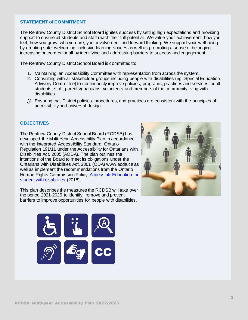#### **STATEMENT of COMMITMENT**

The Renfrew County District School Board ignites success by setting high expectations and providing support to ensure all students and staff reach their full potential. We value your achievement, how you feel, how you grow, who you are, your involvement and forward thinking. We support your well-being by creating safe, welcoming, inclusive learning spaces as well as promoting a sense of belonging increasing outcomes for all by identifying and addressing barriers to success and engagement.

The Renfrew County District School Board is committed to:

- 1. Maintaining an Accessibility Committee with representation from across the system.
- 2. Consulting with all stakeholder groups including people with disabilities (eg. Special Education Advisory Committee) to continuously improve policies, programs, practices and services for all students, staff, parents/guardians, volunteers and members of the community living with disabilities.
- *3.* Ensuring that District policies, procedures, and practices are consistent with the principles of accessibility and universal design.

#### **OBJECTIVES**

The Renfrew County District School Board (RCDSB) has developed the Multi-Year Accessibility Plan in accordance with the Integrated Accessibility Standard, Ontario Regulation 191/11 under the Accessibility for Ontarians with Disabilities Act, 2005 (AODA). The plan outlines the intentions of the Board to meet its obligations under the Ontarians with Disabilities Act, 2001 (ODA) www.aoda.ca as well as implement the recommendations from the Ontario Human Rights Commission Policy[: Accessible Education for](about:blank)  [student with disabilities](about:blank) (2018).

This plan describes the measures the RCDSB will take over the period 2021-2025 to identify, remove and prevent barriers to improve opportunities for people with disabilities.



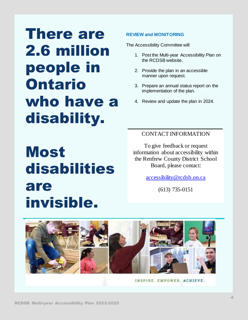# There are 2.6 million people in Ontario who have a disability.

# **REVIEW and MONITORING**

The Accessibility Committee will:

- 1. Post the Multi-year Accessibility Plan on the RCDSB website.
- 2. Provide the plan in an accessible manner upon request.
- 3. Prepare an annual status report on the implementation of the plan.
- 4. Review and update the plan in 2024.

# Most disabilities are invisible.

# CONTACT INFORMATION

To give feedback or request information about accessibility within the Renfrew County District School Board, please contact:

accessibility@rcdsb.on.ca

(613) 735-0151

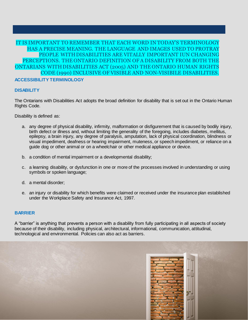## **ACCESSIBILITY TERMINOLOGY** IT IS IMPORTANT TO REMEMBER THAT EACH WORD IN TODAY'S TERMINOLOGY HAS A PRECISE MEANING. THE LANGUAGE AND IMAGES USED TO PROTRAY PEOPLE WITHDISABILITIES ARE VITALLY IMPORTANT IUN CHANGING PERCEPTIONS. THE ONTARIO DEFINITION OF A DISABILITY FROM BOTH THE ONTARIANS WITHDISABILITIES ACT (2005) AND THE ONTARIO HUMAN RIGHTS CODE (1990) INCLUSIVE OF VISIBLE AND NON-VISIBILE DISABILITIES.

### **DISABILITY**

The Ontarians with Disabilities Act adopts the broad definition for disability that is set out in the Ontario Human Rights Code.

Disability is defined as:

- a. any degree of physical disability, infirmity, malformation or disfigurement that is caused by bodily injury, birth defect or illness and, without limiting the generality of the foregoing, includes diabetes, mellitus, epilepsy, a brain injury, any degree of paralysis, amputation, lack of physical coordination, blindness or visual impediment, deafness or hearing impairment, muteness, or speech impediment, or reliance on a guide dog or other animal or on a wheelchair or other medical appliance or device.
- b. a condition of mental impairment or a developmental disability;
- c. a learning disability, or dysfunction in one or more of the processes involved in understanding or using symbols or spoken language;
- d. a mental disorder;
- e. an injury or disability for which benefits were claimed or received under the insurance plan established under the Workplace Safety and Insurance Act, 1997.

### **BARRIER**

A "barrier" is anything that prevents a person with a disability from fully participating in all aspects of society because of their disability, including physical, architectural, informational, communication, attitudinal, technological and environmental. Policies can also act as barriers.

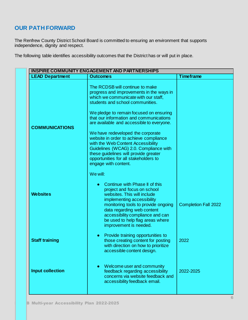# **OUR PATH FORWARD**

The Renfrew County District School Board is committed to ensuring an environment that supports independence, dignity and respect.

The following table identifies accessibility outcomes that the District has or will put in place.

| <b>INSPIRE COMMUNITY ENGAGEMENT AND PARTNERSHIPS</b> |                                                                                                                                                                                                                                                                                                                                                                                                                                                                                                                                                                     |                             |
|------------------------------------------------------|---------------------------------------------------------------------------------------------------------------------------------------------------------------------------------------------------------------------------------------------------------------------------------------------------------------------------------------------------------------------------------------------------------------------------------------------------------------------------------------------------------------------------------------------------------------------|-----------------------------|
| <b>LEAD Department</b>                               | <b>Outcomes</b>                                                                                                                                                                                                                                                                                                                                                                                                                                                                                                                                                     | <b>Timeframe</b>            |
| <b>COMMUNICATIONS</b>                                | The RCDSB will continue to make<br>progress and improvements in the ways in<br>which we communicate with our staff,<br>students and school communities.<br>We pledge to remain focused on ensuring<br>that our information and communications<br>are available and accessible to everyone.<br>We have redeveloped the corporate<br>website in order to achieve compliance<br>with the Web Content Accessibility<br>Guidelines (WCAG) 2.0. Compliance with<br>these guidelines will provide greater<br>opportunities for all stakeholders to<br>engage with content. |                             |
| <b>Websites</b>                                      | We will:<br>Continue with Phase II of this<br>project and focus on school<br>websites. This will include<br>implementing accessibility<br>monitoring tools to provide ongoing<br>data regarding web content<br>accessibility compliance and can<br>be used to help flag areas where<br>improvement is needed.                                                                                                                                                                                                                                                       | <b>Completion Fall 2022</b> |
| <b>Staff training</b>                                | Provide training opportunities to<br>those creating content for posting<br>with direction on how to prioritize<br>accessible content design.                                                                                                                                                                                                                                                                                                                                                                                                                        | 2022                        |
| <b>Input collection</b>                              | Welcome user and community<br>feedback regarding accessibility<br>concerns via website feedback and<br>accessibility feedback email.                                                                                                                                                                                                                                                                                                                                                                                                                                | 2022-2025                   |
|                                                      |                                                                                                                                                                                                                                                                                                                                                                                                                                                                                                                                                                     |                             |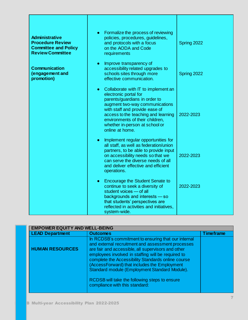| <b>Administrative</b><br><b>Procedure Review</b><br><b>Committee and Policy</b><br><b>Review Committee</b> | Formalize the process of reviewing<br>$\bullet$<br>policies, procedures, guidelines,<br>and protocols with a focus<br>on the AODA and Code<br>requirements                                                                                                                                                    | Spring 2022 |
|------------------------------------------------------------------------------------------------------------|---------------------------------------------------------------------------------------------------------------------------------------------------------------------------------------------------------------------------------------------------------------------------------------------------------------|-------------|
| <b>Communication</b><br>(engagement and<br>promotion)                                                      | Improve transparency of<br>$\bullet$<br>accessibility related upgrades to<br>schools sites through more<br>effective communication.                                                                                                                                                                           | Spring 2022 |
|                                                                                                            | Collaborate with IT to implement an<br>$\bullet$<br>electronic portal for<br>parents/guardians in order to<br>augment two-way communications<br>with staff and provide ease of<br>access to the teaching and learning<br>environments of their children,<br>whether in-person at school or<br>online at home. | 2022-2023   |
|                                                                                                            | Implement regular opportunities for<br>$\bullet$<br>all staff, as well as federation/union<br>partners, to be able to provide input<br>on accessibility needs so that we<br>can serve the diverse needs of all<br>and deliver effective and efficient<br>operations.                                          | 2022-2023   |
|                                                                                                            | <b>Encourage the Student Senate to</b><br>$\bullet$<br>continue to seek a diversity of<br>student voices - of all<br>backgrounds and interests - so<br>that students' perspectives are<br>reflected in activities and initiatives,<br>system-wide.                                                            | 2022-2023   |

| <b>EMPOWER EQUITY AND WELL-BEING</b> |                                                                                                                                                                                                                                                                                                                                                                                                                              |                  |
|--------------------------------------|------------------------------------------------------------------------------------------------------------------------------------------------------------------------------------------------------------------------------------------------------------------------------------------------------------------------------------------------------------------------------------------------------------------------------|------------------|
| <b>LEAD Department</b>               | <b>Outcomes</b>                                                                                                                                                                                                                                                                                                                                                                                                              | <b>Timeframe</b> |
| <b>HUMAN RESOURCES</b>               | In RCDSB's commitment to ensuring that our internal<br>and external recruitment and assessment processes<br>are fair and accessible, all supervisors and other<br>employees involved in staffing will be required to<br>complete the Accessibility Standards online course<br>(AccessForward) that includes the Employment<br>Standard module (Employment Standard Module).<br>RCDSB will take the following steps to ensure |                  |
|                                      | compliance with this standard:                                                                                                                                                                                                                                                                                                                                                                                               |                  |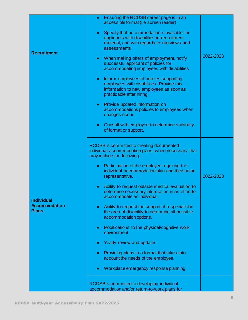|                                                           | Ensuring the RCDSB career page is in an<br>$\bullet$<br>accessible format (i.e screen reader)                                                                            |           |
|-----------------------------------------------------------|--------------------------------------------------------------------------------------------------------------------------------------------------------------------------|-----------|
| <b>Recruitment</b>                                        | Specify that accommodation is available for<br>$\bullet$<br>applicants with disabilities in recruitment<br>material, and with regards to interviews and<br>assessments   |           |
|                                                           | When making offers of employment, notify<br>$\bullet$<br>successful applicant of policies for<br>accommodating employees with disabilities                               | 2022-2023 |
|                                                           | Inform employees of policies supporting<br>$\bullet$<br>employees with disabilities. Provide this<br>information to new employees as soon as<br>practicable after hiring |           |
|                                                           | Provide updated information on<br>$\bullet$<br>accommodations policies to employees when<br>changes occur.                                                               |           |
| <b>Individual</b><br><b>Accommodation</b><br><b>Plans</b> | Consult with employee to determine suitability<br>$\bullet$<br>of format or support.                                                                                     |           |
|                                                           | RCDSB is committed to creating documented<br>individual accommodation plans, when necessary, that<br>may include the following:                                          |           |
|                                                           | Participation of the employee requiring the<br>$\bullet$<br>individual accommodation plan and their union<br>representative.                                             | 2022-2023 |
|                                                           | Ability to request outside medical evaluation to<br>$\bullet$<br>determine necessary information in an effort to<br>accommodate an individual.                           |           |
|                                                           | Ability to request the support of a specialist in<br>$\bullet$<br>the area of disability to determine all possible<br>accommodation options.                             |           |
|                                                           | Modifications to the physical/cognitive work<br>$\bullet$<br>environment                                                                                                 |           |
|                                                           | Yearly review and updates.<br>$\bullet$                                                                                                                                  |           |
|                                                           | Providing plans in a format that takes into<br>$\bullet$<br>account the needs of the employee.                                                                           |           |
|                                                           | Workplace emergency response planning.<br>$\bullet$                                                                                                                      |           |
|                                                           | RCDSB is committed to developing individual<br>accommodation and/or return-to-work plans for                                                                             |           |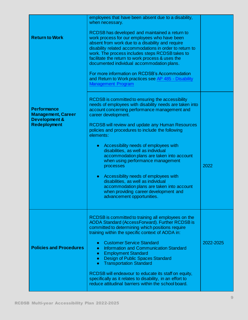| <b>Return to Work</b>                                                                              | employees that have been absent due to a disability,<br>when necessary.<br>RCDSB has developed and maintained a return to<br>work process for our employees who have been<br>absent from work due to a disability and require<br>disability related accommodations in order to return to<br>work. The process includes steps RCDSB takes to<br>facilitate the return to work process & uses the<br>documented individual accommodation plans.<br>For more information on RCDSB's Accommodation<br>and Return to Work practices see AP 485 - Disability<br><b>Management Program</b>                                                                                                                                            |           |
|----------------------------------------------------------------------------------------------------|--------------------------------------------------------------------------------------------------------------------------------------------------------------------------------------------------------------------------------------------------------------------------------------------------------------------------------------------------------------------------------------------------------------------------------------------------------------------------------------------------------------------------------------------------------------------------------------------------------------------------------------------------------------------------------------------------------------------------------|-----------|
| <b>Performance</b><br><b>Management, Career</b><br><b>Development &amp;</b><br><b>Redeployment</b> | RCDSB is committed to ensuring the accessibility<br>needs of employees with disability needs are taken into<br>account concerning performance management and<br>career development.<br><b>RCDSB will review and update any Human Resources</b><br>policies and procedures to include the following<br>elements:<br>Accessibility needs of employees with<br>$\bullet$<br>disabilities, as well as individual<br>accommodation plans are taken into account<br>when using performance management<br>processes<br>Accessibility needs of employees with<br>$\bullet$<br>disabilities, as well as individual<br>accommodation plans are taken into account<br>when providing career development and<br>advancement opportunities. | 2022      |
| <b>Policies and Procedures</b>                                                                     | RCDSB is committed to training all employees on the<br><b>AODA Standard (AccessForward). Further RCDSB is</b><br>committed to determining which positions require<br>training within the specific context of AODA in:<br><b>Customer Service Standard</b><br>$\bullet$<br>Information and Communication Standard<br>$\bullet$<br><b>Employment Standard</b><br>$\bullet$<br><b>Design of Public Spaces Standard</b><br>$\bullet$<br><b>Transportation Standard</b><br>$\bullet$<br>RCDSB will endeavour to educate its staff on equity,<br>specifically as it relates to disability, in an effort to<br>reduce attitudinal barriers within the school board.                                                                   | 2022-2025 |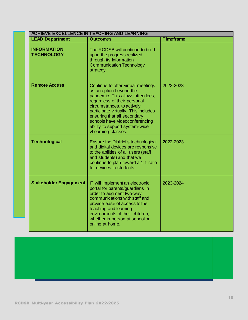| <b>ACHIEVE EXCELLENCE IN TEACHING AND LEARNING</b> |                                                                                                                                                                                                                                                                                                                                  |                  |
|----------------------------------------------------|----------------------------------------------------------------------------------------------------------------------------------------------------------------------------------------------------------------------------------------------------------------------------------------------------------------------------------|------------------|
| <b>LEAD Department</b>                             | <b>Outcomes</b>                                                                                                                                                                                                                                                                                                                  | <b>Timeframe</b> |
| <b>INFORMATION</b><br><b>TECHNOLOGY</b>            | The RCDSB will continue to build<br>upon the progress realized<br>through its Information<br><b>Communication Technology</b><br>strategy.                                                                                                                                                                                        |                  |
| <b>Remote Access</b>                               | Continue to offer virtual meetings<br>as an option beyond the<br>pandemic. This allows attendees,<br>regardless of their personal<br>circumstances, to actively<br>participate virtually. This includes<br>ensuring that all secondary<br>schools have videoconferencing<br>ability to support system-wide<br>vLearning classes. | 2022-2023        |
| <b>Technological</b>                               | Ensure the District's technological<br>and digital devices are responsive<br>to the abilities of all users (staff<br>and students) and that we<br>continue to plan toward a 1:1 ratio<br>for devices to students.                                                                                                                | 2022-2023        |
| <b>Stakeholder Engagement</b>                      | IT will implement an electronic<br>portal for parents/guardians in<br>order to augment two-way<br>communications with staff and<br>provide ease of access to the<br>teaching and learning<br>environments of their children,<br>whether in-person at school or<br>online at home.                                                | 2023-2024        |